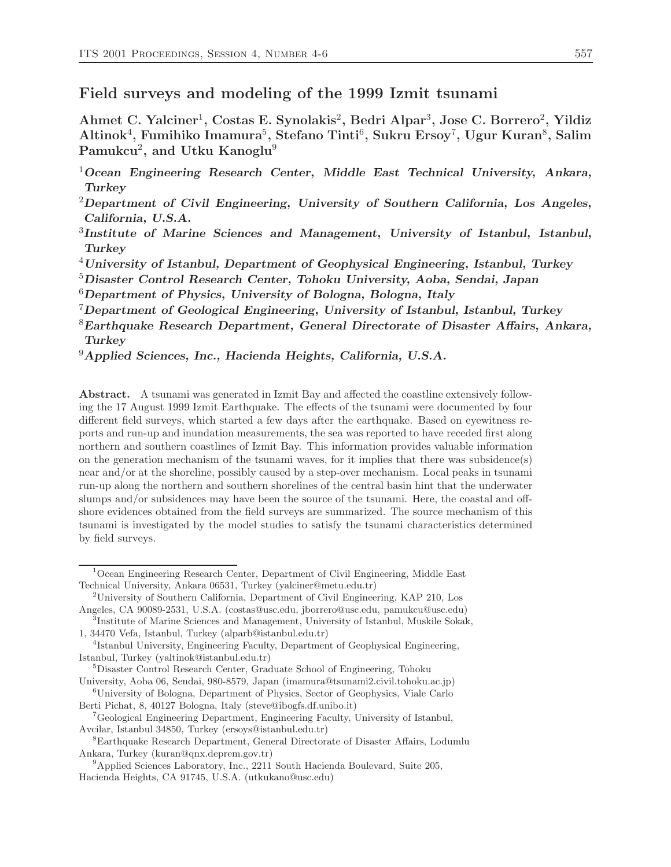#### **Field surveys and modeling of the 1999 Izmit tsunami**

**Ahmet C. Yalciner**<sup>1</sup>**, Costas E. Synolakis**<sup>2</sup>**, Bedri Alpar**<sup>3</sup>**, Jose C. Borrero**<sup>2</sup>**, Yildiz Altinok**<sup>4</sup>**, Fumihiko Imamura**<sup>5</sup>**, Stefano Tinti**<sup>6</sup>**, Sukru Ersoy**<sup>7</sup>**, Ugur Kuran**<sup>8</sup>**, Salim Pamukcu**<sup>2</sup>**, and Utku Kanoglu**<sup>9</sup>

<sup>4</sup>*University of Istanbul, Department of Geophysical Engineering, Istanbul, Turkey*

<sup>5</sup>*Disaster Control Research Center, Tohoku University, Aoba, Sendai, Japan*

<sup>6</sup>*Department of Physics, University of Bologna, Bologna, Italy*

<sup>7</sup>*Department of Geological Engineering, University of Istanbul, Istanbul, Turkey*

<sup>8</sup>*Earthquake Research Department, General Directorate of Disaster Affairs, Ankara, Turkey*

<sup>9</sup>*Applied Sciences, Inc., Hacienda Heights, California, U.S.A.*

**Abstract.** A tsunami was generated in Izmit Bay and affected the coastline extensively following the 17 August 1999 Izmit Earthquake. The effects of the tsunami were documented by four different field surveys, which started a few days after the earthquake. Based on eyewitness reports and run-up and inundation measurements, the sea was reported to have receded first along northern and southern coastlines of Izmit Bay. This information provides valuable information on the generation mechanism of the tsunami waves, for it implies that there was subsidence(s) near and/or at the shoreline, possibly caused by a step-over mechanism. Local peaks in tsunami run-up along the northern and southern shorelines of the central basin hint that the underwater slumps and/or subsidences may have been the source of the tsunami. Here, the coastal and offshore evidences obtained from the field surveys are summarized. The source mechanism of this tsunami is investigated by the model studies to satisfy the tsunami characteristics determined by field surveys.

<sup>1</sup>*Ocean Engineering Research Center, Middle East Technical University, Ankara, Turkey*

<sup>2</sup>*Department of Civil Engineering, University of Southern California, Los Angeles, California, U.S.A.*

<sup>3</sup>*Institute of Marine Sciences and Management, University of Istanbul, Istanbul, Turkey*

<sup>1</sup>Ocean Engineering Research Center, Department of Civil Engineering, Middle East Technical University, Ankara 06531, Turkey (yalciner@metu.edu.tr)

<sup>2</sup>University of Southern California, Department of Civil Engineering, KAP 210, Los Angeles, CA 90089-2531, U.S.A. (costas@usc.edu, jborrero@usc.edu, pamukcu@usc.edu)

<sup>3</sup>Institute of Marine Sciences and Management, University of Istanbul, Muskile Sokak, 1, 34470 Vefa, Istanbul, Turkey (alparb@istanbul.edu.tr)

<sup>4</sup>Istanbul University, Engineering Faculty, Department of Geophysical Engineering, Istanbul, Turkey (yaltinok@istanbul.edu.tr)

<sup>5</sup>Disaster Control Research Center, Graduate School of Engineering, Tohoku

University, Aoba 06, Sendai, 980-8579, Japan (imamura@tsunami2.civil.tohoku.ac.jp) <sup>6</sup>University of Bologna, Department of Physics, Sector of Geophysics, Viale Carlo

Berti Pichat, 8, 40127 Bologna, Italy (steve@ibogfs.df.unibo.it)

<sup>7</sup>Geological Engineering Department, Engineering Faculty, University of Istanbul, Avcilar, Istanbul 34850, Turkey (ersoys@istanbul.edu.tr)

<sup>8</sup>Earthquake Research Department, General Directorate of Disaster Affairs, Lodumlu Ankara, Turkey (kuran@qnx.deprem.gov.tr)

<sup>&</sup>lt;sup>9</sup>Applied Sciences Laboratory, Inc., 2211 South Hacienda Boulevard, Suite 205, Hacienda Heights, CA 91745, U.S.A. (utkukano@usc.edu)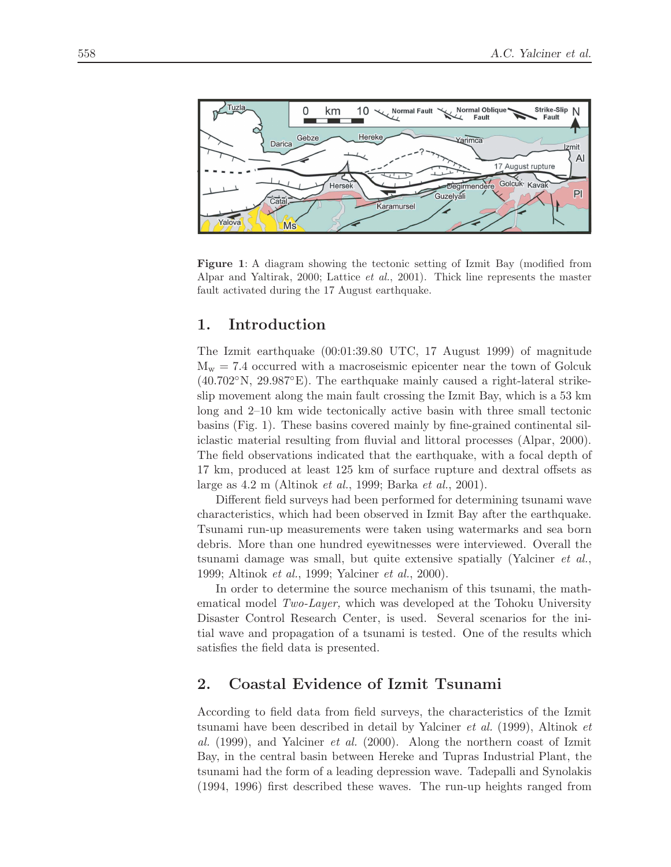

**Figure 1**: A diagram showing the tectonic setting of Izmit Bay (modified from Alpar and Yaltirak, 2000; Lattice et al., 2001). Thick line represents the master fault activated during the 17 August earthquake.

# **1. Introduction**

The Izmit earthquake (00:01:39.80 UTC, 17 August 1999) of magnitude  $M_w = 7.4$  occurred with a macroseismic epicenter near the town of Golcuk  $(40.702°N, 29.987°E)$ . The earthquake mainly caused a right-lateral strikeslip movement along the main fault crossing the Izmit Bay, which is a 53 km long and 2–10 km wide tectonically active basin with three small tectonic basins (Fig. 1). These basins covered mainly by fine-grained continental siliclastic material resulting from fluvial and littoral processes (Alpar, 2000). The field observations indicated that the earthquake, with a focal depth of 17 km, produced at least 125 km of surface rupture and dextral offsets as large as 4.2 m (Altinok et al., 1999; Barka et al., 2001).

Different field surveys had been performed for determining tsunami wave characteristics, which had been observed in Izmit Bay after the earthquake. Tsunami run-up measurements were taken using watermarks and sea born debris. More than one hundred eyewitnesses were interviewed. Overall the tsunami damage was small, but quite extensive spatially (Yalciner et al., 1999; Altinok et al., 1999; Yalciner et al., 2000).

In order to determine the source mechanism of this tsunami, the mathematical model Two-Layer, which was developed at the Tohoku University Disaster Control Research Center, is used. Several scenarios for the initial wave and propagation of a tsunami is tested. One of the results which satisfies the field data is presented.

# **2. Coastal Evidence of Izmit Tsunami**

According to field data from field surveys, the characteristics of the Izmit tsunami have been described in detail by Yalciner et al. (1999), Altinok et al. (1999), and Yalciner *et al.* (2000). Along the northern coast of Izmit Bay, in the central basin between Hereke and Tupras Industrial Plant, the tsunami had the form of a leading depression wave. Tadepalli and Synolakis (1994, 1996) first described these waves. The run-up heights ranged from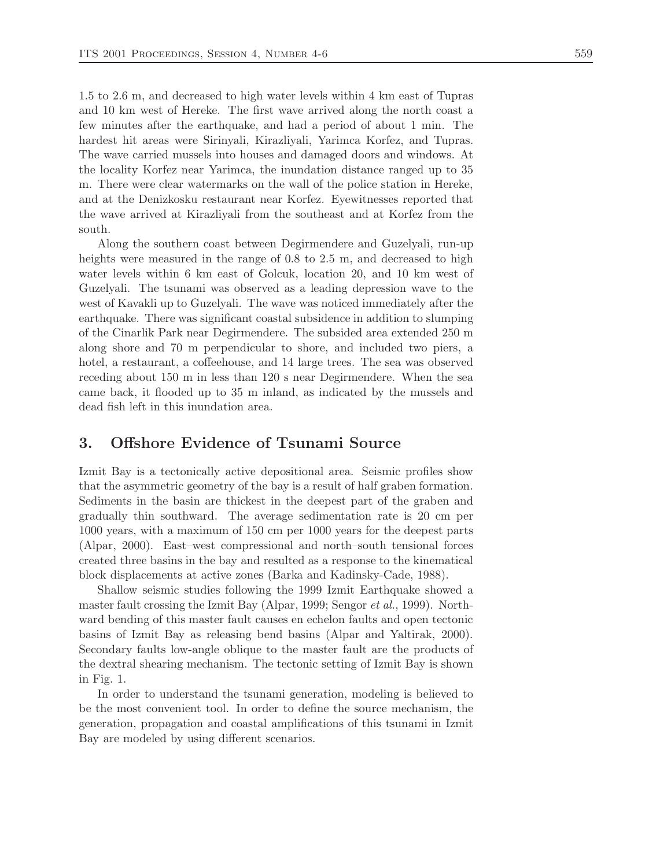1.5 to 2.6 m, and decreased to high water levels within 4 km east of Tupras and 10 km west of Hereke. The first wave arrived along the north coast a few minutes after the earthquake, and had a period of about 1 min. The hardest hit areas were Sirinyali, Kirazliyali, Yarimca Korfez, and Tupras. The wave carried mussels into houses and damaged doors and windows. At the locality Korfez near Yarimca, the inundation distance ranged up to 35 m. There were clear watermarks on the wall of the police station in Hereke, and at the Denizkosku restaurant near Korfez. Eyewitnesses reported that the wave arrived at Kirazliyali from the southeast and at Korfez from the south.

Along the southern coast between Degirmendere and Guzelyali, run-up heights were measured in the range of 0.8 to 2.5 m, and decreased to high water levels within 6 km east of Golcuk, location 20, and 10 km west of Guzelyali. The tsunami was observed as a leading depression wave to the west of Kavakli up to Guzelyali. The wave was noticed immediately after the earthquake. There was significant coastal subsidence in addition to slumping of the Cinarlik Park near Degirmendere. The subsided area extended 250 m along shore and 70 m perpendicular to shore, and included two piers, a hotel, a restaurant, a coffeehouse, and 14 large trees. The sea was observed receding about 150 m in less than 120 s near Degirmendere. When the sea came back, it flooded up to 35 m inland, as indicated by the mussels and dead fish left in this inundation area.

### **3. Offshore Evidence of Tsunami Source**

Izmit Bay is a tectonically active depositional area. Seismic profiles show that the asymmetric geometry of the bay is a result of half graben formation. Sediments in the basin are thickest in the deepest part of the graben and gradually thin southward. The average sedimentation rate is 20 cm per 1000 years, with a maximum of 150 cm per 1000 years for the deepest parts (Alpar, 2000). East–west compressional and north–south tensional forces created three basins in the bay and resulted as a response to the kinematical block displacements at active zones (Barka and Kadinsky-Cade, 1988).

Shallow seismic studies following the 1999 Izmit Earthquake showed a master fault crossing the Izmit Bay (Alpar, 1999; Sengor et al., 1999). Northward bending of this master fault causes en echelon faults and open tectonic basins of Izmit Bay as releasing bend basins (Alpar and Yaltirak, 2000). Secondary faults low-angle oblique to the master fault are the products of the dextral shearing mechanism. The tectonic setting of Izmit Bay is shown in Fig. 1.

In order to understand the tsunami generation, modeling is believed to be the most convenient tool. In order to define the source mechanism, the generation, propagation and coastal amplifications of this tsunami in Izmit Bay are modeled by using different scenarios.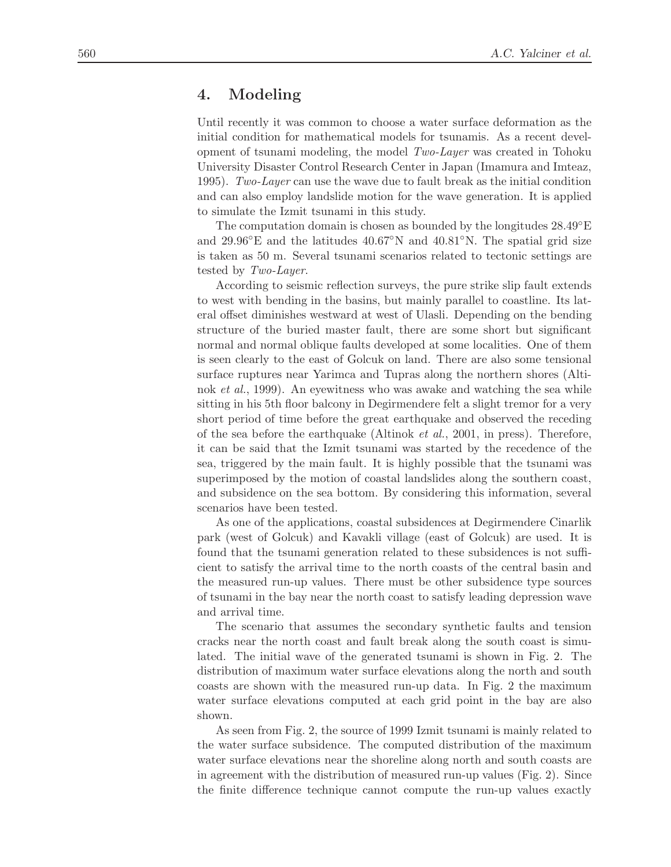#### **4. Modeling**

Until recently it was common to choose a water surface deformation as the initial condition for mathematical models for tsunamis. As a recent development of tsunami modeling, the model  $Two\text{-}Layer$  was created in Tohoku University Disaster Control Research Center in Japan (Imamura and Imteaz, 1995). Two-Layer can use the wave due to fault break as the initial condition and can also employ landslide motion for the wave generation. It is applied to simulate the Izmit tsunami in this study.

The computation domain is chosen as bounded by the longitudes  $28.49^{\circ}E$ and 29.96◦E and the latitudes 40.67◦N and 40.81◦N. The spatial grid size is taken as 50 m. Several tsunami scenarios related to tectonic settings are tested by Two-Layer.

According to seismic reflection surveys, the pure strike slip fault extends to west with bending in the basins, but mainly parallel to coastline. Its lateral offset diminishes westward at west of Ulasli. Depending on the bending structure of the buried master fault, there are some short but significant normal and normal oblique faults developed at some localities. One of them is seen clearly to the east of Golcuk on land. There are also some tensional surface ruptures near Yarimca and Tupras along the northern shores (Altinok et al., 1999). An eyewitness who was awake and watching the sea while sitting in his 5th floor balcony in Degirmendere felt a slight tremor for a very short period of time before the great earthquake and observed the receding of the sea before the earthquake (Altinok et al., 2001, in press). Therefore, it can be said that the Izmit tsunami was started by the recedence of the sea, triggered by the main fault. It is highly possible that the tsunami was superimposed by the motion of coastal landslides along the southern coast, and subsidence on the sea bottom. By considering this information, several scenarios have been tested.

As one of the applications, coastal subsidences at Degirmendere Cinarlik park (west of Golcuk) and Kavakli village (east of Golcuk) are used. It is found that the tsunami generation related to these subsidences is not sufficient to satisfy the arrival time to the north coasts of the central basin and the measured run-up values. There must be other subsidence type sources of tsunami in the bay near the north coast to satisfy leading depression wave and arrival time.

The scenario that assumes the secondary synthetic faults and tension cracks near the north coast and fault break along the south coast is simulated. The initial wave of the generated tsunami is shown in Fig. 2. The distribution of maximum water surface elevations along the north and south coasts are shown with the measured run-up data. In Fig. 2 the maximum water surface elevations computed at each grid point in the bay are also shown.

As seen from Fig. 2, the source of 1999 Izmit tsunami is mainly related to the water surface subsidence. The computed distribution of the maximum water surface elevations near the shoreline along north and south coasts are in agreement with the distribution of measured run-up values (Fig. 2). Since the finite difference technique cannot compute the run-up values exactly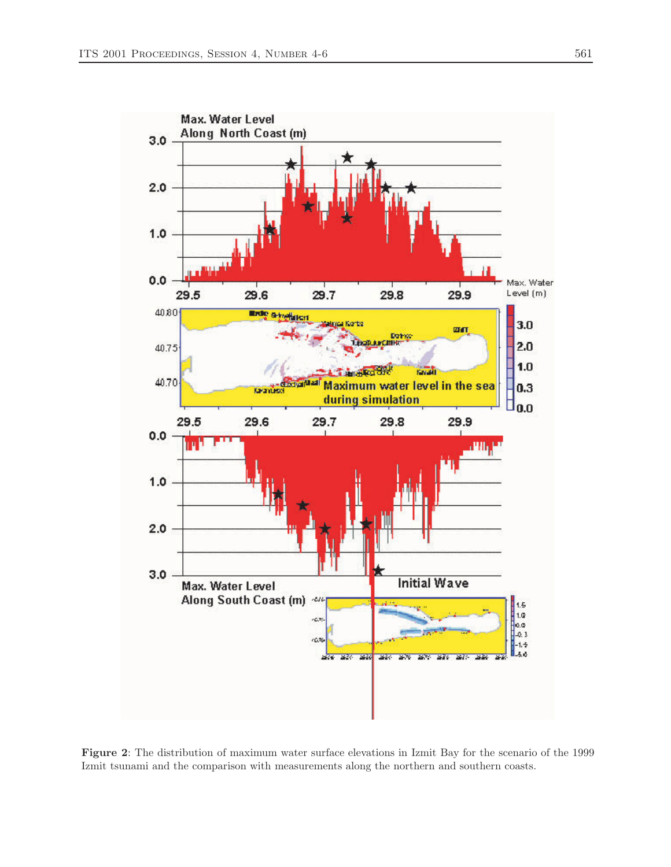

**Figure 2**: The distribution of maximum water surface elevations in Izmit Bay for the scenario of the 1999 Izmit tsunami and the comparison with measurements along the northern and southern coasts.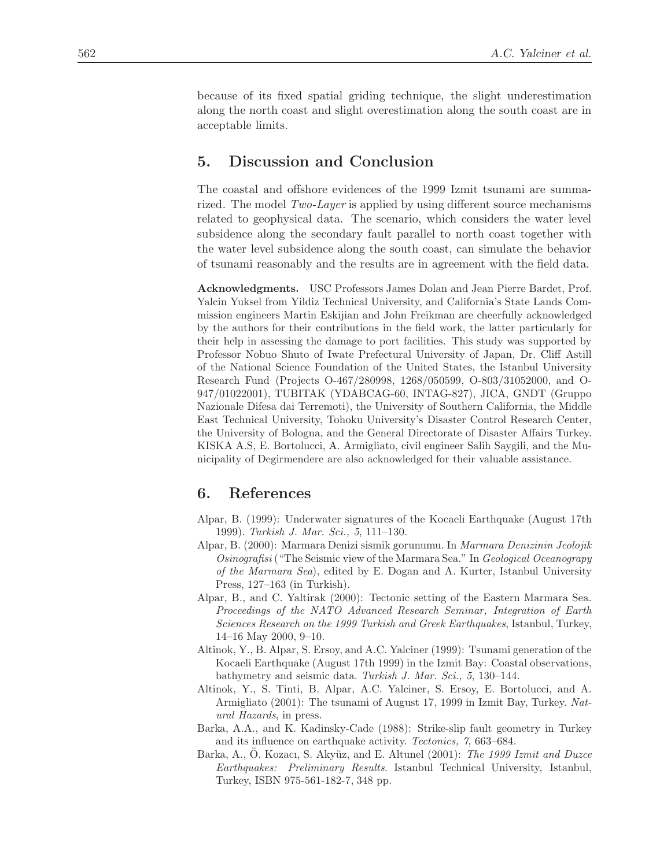because of its fixed spatial griding technique, the slight underestimation along the north coast and slight overestimation along the south coast are in acceptable limits.

### **5. Discussion and Conclusion**

The coastal and offshore evidences of the 1999 Izmit tsunami are summarized. The model Two-Layer is applied by using different source mechanisms related to geophysical data. The scenario, which considers the water level subsidence along the secondary fault parallel to north coast together with the water level subsidence along the south coast, can simulate the behavior of tsunami reasonably and the results are in agreement with the field data.

**Acknowledgments.** USC Professors James Dolan and Jean Pierre Bardet, Prof. Yalcin Yuksel from Yildiz Technical University, and California's State Lands Commission engineers Martin Eskijian and John Freikman are cheerfully acknowledged by the authors for their contributions in the field work, the latter particularly for their help in assessing the damage to port facilities. This study was supported by Professor Nobuo Shuto of Iwate Prefectural University of Japan, Dr. Cliff Astill of the National Science Foundation of the United States, the Istanbul University Research Fund (Projects O-467/280998, 1268/050599, O-803/31052000, and O-947/01022001), TUBITAK (YDABCAG-60, INTAG-827), JICA, GNDT (Gruppo Nazionale Difesa dai Terremoti), the University of Southern California, the Middle East Technical University, Tohoku University's Disaster Control Research Center, the University of Bologna, and the General Directorate of Disaster Affairs Turkey. KISKA A.S, E. Bortolucci, A. Armigliato, civil engineer Salih Saygili, and the Municipality of Degirmendere are also acknowledged for their valuable assistance.

### **6. References**

- Alpar, B. (1999): Underwater signatures of the Kocaeli Earthquake (August 17th 1999). Turkish J. Mar. Sci., 5, 111–130.
- Alpar, B. (2000): Marmara Denizi sismik gorunumu. In Marmara Denizinin Jeolojik Osinografisi ("The Seismic view of the Marmara Sea." In Geological Oceanograpy of the Marmara Sea), edited by E. Dogan and A. Kurter, Istanbul University Press, 127–163 (in Turkish).
- Alpar, B., and C. Yaltirak (2000): Tectonic setting of the Eastern Marmara Sea. Proceedings of the NATO Advanced Research Seminar, Integration of Earth Sciences Research on the 1999 Turkish and Greek Earthquakes, Istanbul, Turkey, 14–16 May 2000, 9–10.
- Altinok, Y., B. Alpar, S. Ersoy, and A.C. Yalciner (1999): Tsunami generation of the Kocaeli Earthquake (August 17th 1999) in the Izmit Bay: Coastal observations, bathymetry and seismic data. Turkish J. Mar. Sci., 5, 130–144.
- Altinok, Y., S. Tinti, B. Alpar, A.C. Yalciner, S. Ersoy, E. Bortolucci, and A. Armigliato (2001): The tsunami of August 17, 1999 in Izmit Bay, Turkey. Natural Hazards, in press.
- Barka, A.A., and K. Kadinsky-Cade (1988): Strike-slip fault geometry in Turkey and its influence on earthquake activity. Tectonics, 7, 663–684.
- Barka, A., O. Kozacı, S. Akyüz, and E. Altunel (2001): The 1999 Izmit and Duzce Earthquakes: Preliminary Results. Istanbul Technical University, Istanbul, Turkey, ISBN 975-561-182-7, 348 pp.